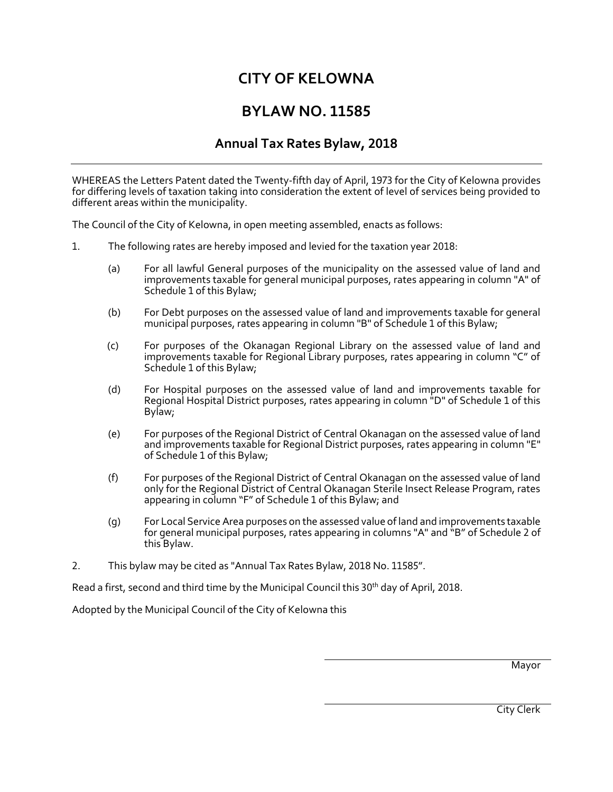# **CITY OF KELOWNA**

# **BYLAW NO. 11585**

# **Annual Tax Rates Bylaw, 2018**

WHEREAS the Letters Patent dated the Twenty-fifth day of April, 1973 for the City of Kelowna provides for differing levels of taxation taking into consideration the extent of level of services being provided to different areas within the municipality.

The Council of the City of Kelowna, in open meeting assembled, enacts as follows:

- 1. The following rates are hereby imposed and levied for the taxation year 2018:
	- (a) For all lawful General purposes of the municipality on the assessed value of land and improvements taxable for general municipal purposes, rates appearing in column "A" of Schedule 1 of this Bylaw;
	- (b) For Debt purposes on the assessed value of land and improvements taxable for general municipal purposes, rates appearing in column "B" of Schedule 1 of this Bylaw;
	- (c) For purposes of the Okanagan Regional Library on the assessed value of land and improvements taxable for Regional Library purposes, rates appearing in column "C" of Schedule 1 of this Bylaw;
	- (d) For Hospital purposes on the assessed value of land and improvements taxable for Regional Hospital District purposes, rates appearing in column "D" of Schedule 1 of this Bylaw;
	- (e) For purposes of the Regional District of Central Okanagan on the assessed value of land and improvements taxable for Regional District purposes, rates appearing in column "E" of Schedule 1 of this Bylaw;
	- (f) For purposes of the Regional District of Central Okanagan on the assessed value of land only for the Regional District of Central Okanagan Sterile Insect Release Program, rates appearing in column "F" of Schedule 1 of this Bylaw; and
	- (g) For Local Service Area purposes on the assessed value of land and improvements taxable for general municipal purposes, rates appearing in columns "A" and "B" of Schedule 2 of this Bylaw.
- 2. This bylaw may be cited as "Annual Tax Rates Bylaw, 2018 No. 11585".

Read a first, second and third time by the Municipal Council this 30th day of April, 2018.

Adopted by the Municipal Council of the City of Kelowna this

Mayor

City Clerk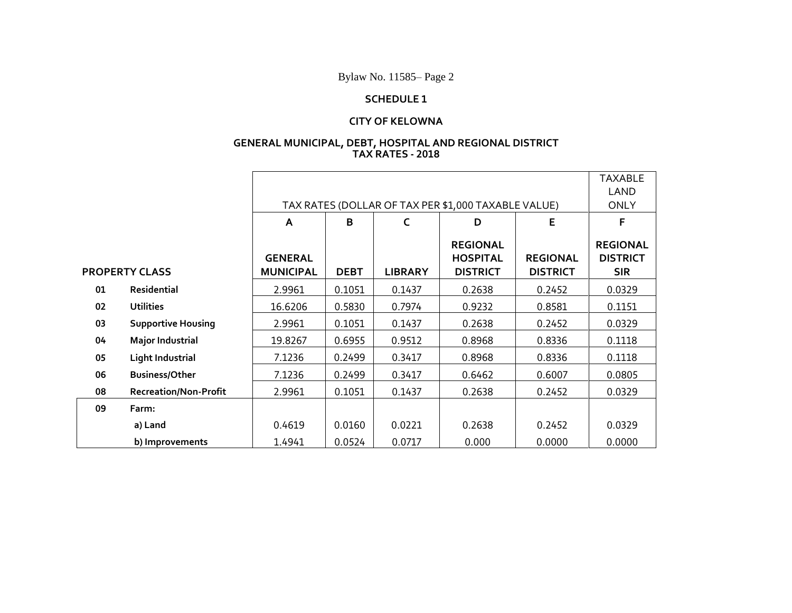Bylaw No. 11585– Page 2

### **SCHEDULE 1**

### **CITY OF KELOWNA**

#### **GENERAL MUNICIPAL, DEBT, HOSPITAL AND REGIONAL DISTRICT TAX RATES - 2018**

|                       |                              |                                                     | <b>TAXABLE</b> |                |                                                       |                                    |                                                  |
|-----------------------|------------------------------|-----------------------------------------------------|----------------|----------------|-------------------------------------------------------|------------------------------------|--------------------------------------------------|
|                       |                              |                                                     |                |                |                                                       |                                    |                                                  |
|                       |                              | TAX RATES (DOLLAR OF TAX PER \$1,000 TAXABLE VALUE) |                |                |                                                       |                                    | <b>ONLY</b>                                      |
|                       |                              | A                                                   | B              | C              | D                                                     | E                                  | F                                                |
| <b>PROPERTY CLASS</b> |                              | <b>GENERAL</b><br><b>MUNICIPAL</b>                  | <b>DEBT</b>    | <b>LIBRARY</b> | <b>REGIONAL</b><br><b>HOSPITAL</b><br><b>DISTRICT</b> | <b>REGIONAL</b><br><b>DISTRICT</b> | <b>REGIONAL</b><br><b>DISTRICT</b><br><b>SIR</b> |
| 01                    | Residential                  | 2.9961                                              | 0.1051         | 0.1437         | 0.2638                                                | 0.2452                             | 0.0329                                           |
| 02                    | <b>Utilities</b>             | 16.6206                                             | 0.5830         | 0.7974         | 0.9232                                                | 0.8581                             | 0.1151                                           |
| 03                    | <b>Supportive Housing</b>    | 2.9961                                              | 0.1051         | 0.1437         | 0.2638                                                | 0.2452                             | 0.0329                                           |
| 04                    | <b>Major Industrial</b>      | 19.8267                                             | 0.6955         | 0.9512         | 0.8968                                                | 0.8336                             | 0.1118                                           |
| 05                    | <b>Light Industrial</b>      | 7.1236                                              | 0.2499         | 0.3417         | 0.8968                                                | 0.8336                             | 0.1118                                           |
| 06                    | <b>Business/Other</b>        | 7.1236                                              | 0.2499         | 0.3417         | 0.6462                                                | 0.6007                             | 0.0805                                           |
| 08                    | <b>Recreation/Non-Profit</b> | 2.9961                                              | 0.1051         | 0.1437         | 0.2638                                                | 0.2452                             | 0.0329                                           |
| 09                    | Farm:                        |                                                     |                |                |                                                       |                                    |                                                  |
|                       | a) Land                      | 0.4619                                              | 0.0160         | 0.0221         | 0.2638                                                | 0.2452                             | 0.0329                                           |
|                       | b) Improvements              | 1.4941                                              | 0.0524         | 0.0717         | 0.000                                                 | 0.0000                             | 0.0000                                           |